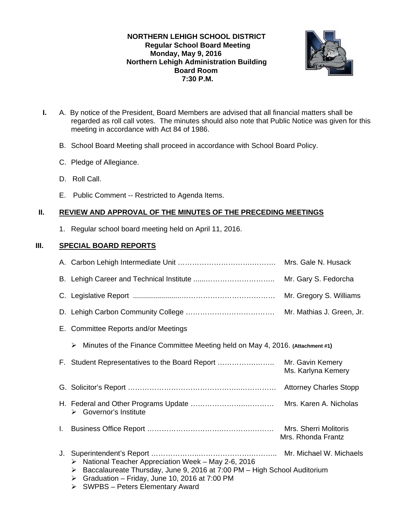## **NORTHERN LEHIGH SCHOOL DISTRICT Regular School Board Meeting Monday, May 9, 2016 Northern Lehigh Administration Building Board Room 7:30 P.M.**



- **I.** A. By notice of the President, Board Members are advised that all financial matters shall be regarded as roll call votes. The minutes should also note that Public Notice was given for this meeting in accordance with Act 84 of 1986.
	- B. School Board Meeting shall proceed in accordance with School Board Policy.
	- C. Pledge of Allegiance.
	- D. Roll Call.
	- E. Public Comment -- Restricted to Agenda Items.

# **II. REVIEW AND APPROVAL OF THE MINUTES OF THE PRECEDING MEETINGS**

1. Regular school board meeting held on April 11, 2016.

# **III. SPECIAL BOARD REPORTS**

|    |                                                                                                                                                                                                                                               | Mrs. Gale N. Husack                         |
|----|-----------------------------------------------------------------------------------------------------------------------------------------------------------------------------------------------------------------------------------------------|---------------------------------------------|
|    |                                                                                                                                                                                                                                               | Mr. Gary S. Fedorcha                        |
|    |                                                                                                                                                                                                                                               | Mr. Gregory S. Williams                     |
|    |                                                                                                                                                                                                                                               | Mr. Mathias J. Green, Jr.                   |
|    | E. Committee Reports and/or Meetings                                                                                                                                                                                                          |                                             |
|    | Minutes of the Finance Committee Meeting held on May 4, 2016. (Attachment #1)<br>➤                                                                                                                                                            |                                             |
|    | F. Student Representatives to the Board Report                                                                                                                                                                                                | Mr. Gavin Kemery<br>Ms. Karlyna Kemery      |
|    |                                                                                                                                                                                                                                               |                                             |
|    | $\triangleright$ Governor's Institute                                                                                                                                                                                                         | Mrs. Karen A. Nicholas                      |
| L. |                                                                                                                                                                                                                                               | Mrs. Sherri Molitoris<br>Mrs. Rhonda Frantz |
| J. | National Teacher Appreciation Week - May 2-6, 2016<br>➤<br>Baccalaureate Thursday, June 9, 2016 at 7:00 PM - High School Auditorium<br>➤<br>Graduation - Friday, June 10, 2016 at 7:00 PM<br>➤<br><b>SWPBS - Peters Elementary Award</b><br>➤ |                                             |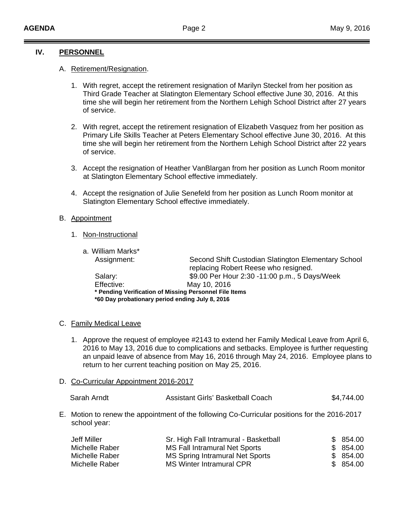# **IV. PERSONNEL**

## A. Retirement/Resignation.

- 1. With regret, accept the retirement resignation of Marilyn Steckel from her position as Third Grade Teacher at Slatington Elementary School effective June 30, 2016. At this time she will begin her retirement from the Northern Lehigh School District after 27 years of service.
- 2. With regret, accept the retirement resignation of Elizabeth Vasquez from her position as Primary Life Skills Teacher at Peters Elementary School effective June 30, 2016. At this time she will begin her retirement from the Northern Lehigh School District after 22 years of service.
- 3. Accept the resignation of Heather VanBlargan from her position as Lunch Room monitor at Slatington Elementary School effective immediately.
- 4. Accept the resignation of Julie Senefeld from her position as Lunch Room monitor at Slatington Elementary School effective immediately.

## B. Appointment

1. Non-Instructional

| a. William Marks*                               |                                                                                             |  |
|-------------------------------------------------|---------------------------------------------------------------------------------------------|--|
| Assignment:                                     | Second Shift Custodian Slatington Elementary School<br>replacing Robert Reese who resigned. |  |
| Salary:                                         | \$9.00 Per Hour 2:30 -11:00 p.m., 5 Days/Week                                               |  |
| Effective:                                      | May 10, 2016                                                                                |  |
|                                                 | * Pending Verification of Missing Personnel File Items                                      |  |
| *60 Day probationary period ending July 8, 2016 |                                                                                             |  |

## C. Family Medical Leave

- 1. Approve the request of employee #2143 to extend her Family Medical Leave from April 6, 2016 to May 13, 2016 due to complications and setbacks. Employee is further requesting an unpaid leave of absence from May 16, 2016 through May 24, 2016. Employee plans to return to her current teaching position on May 25, 2016.
- D. Co-Curricular Appointment 2016-2017

| Sarah Arndt | Assistant Girls' Basketball Coach | \$4,744.00 |
|-------------|-----------------------------------|------------|
|-------------|-----------------------------------|------------|

E. Motion to renew the appointment of the following Co-Curricular positions for the 2016-2017 school year:

| Jeff Miller    | Sr. High Fall Intramural - Basketball | \$854.00 |
|----------------|---------------------------------------|----------|
| Michelle Raber | MS Fall Intramural Net Sports         | \$854.00 |
| Michelle Raber | MS Spring Intramural Net Sports       | \$854.00 |
| Michelle Raber | MS Winter Intramural CPR              | \$854.00 |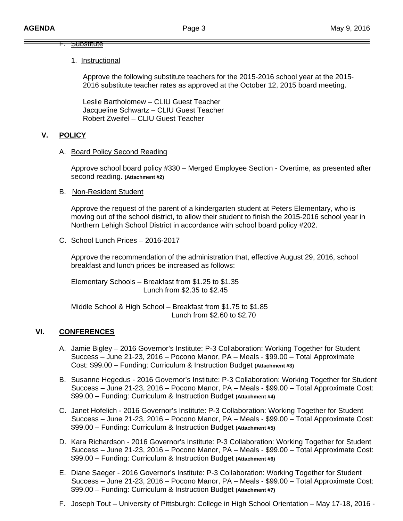## F. Substitute

#### 1. Instructional

Approve the following substitute teachers for the 2015-2016 school year at the 2015- 2016 substitute teacher rates as approved at the October 12, 2015 board meeting.

 Leslie Bartholomew – CLIU Guest Teacher Jacqueline Schwartz – CLIU Guest Teacher Robert Zweifel – CLIU Guest Teacher

# **V. POLICY**

#### A. Board Policy Second Reading

Approve school board policy #330 – Merged Employee Section - Overtime, as presented after second reading. **(Attachment #2)** 

B. Non-Resident Student

 Approve the request of the parent of a kindergarten student at Peters Elementary, who is moving out of the school district, to allow their student to finish the 2015-2016 school year in Northern Lehigh School District in accordance with school board policy #202.

C. School Lunch Prices – 2016-2017

 Approve the recommendation of the administration that, effective August 29, 2016, school breakfast and lunch prices be increased as follows:

 Elementary Schools – Breakfast from \$1.25 to \$1.35 Lunch from \$2.35 to \$2.45

 Middle School & High School – Breakfast from \$1.75 to \$1.85 Lunch from \$2.60 to \$2.70

## **VI. CONFERENCES**

- A. Jamie Bigley 2016 Governor's Institute: P-3 Collaboration: Working Together for Student Success – June 21-23, 2016 – Pocono Manor, PA – Meals - \$99.00 – Total Approximate Cost: \$99.00 – Funding: Curriculum & Instruction Budget **(Attachment #3)**
- B. Susanne Hegedus 2016 Governor's Institute: P-3 Collaboration: Working Together for Student Success – June 21-23, 2016 – Pocono Manor, PA – Meals - \$99.00 – Total Approximate Cost: \$99.00 – Funding: Curriculum & Instruction Budget **(Attachment #4)**
- C. Janet Hofelich 2016 Governor's Institute: P-3 Collaboration: Working Together for Student Success – June 21-23, 2016 – Pocono Manor, PA – Meals - \$99.00 – Total Approximate Cost: \$99.00 – Funding: Curriculum & Instruction Budget **(Attachment #5)**
- D. Kara Richardson 2016 Governor's Institute: P-3 Collaboration: Working Together for Student Success – June 21-23, 2016 – Pocono Manor, PA – Meals - \$99.00 – Total Approximate Cost: \$99.00 – Funding: Curriculum & Instruction Budget **(Attachment #6)**
- E. Diane Saeger 2016 Governor's Institute: P-3 Collaboration: Working Together for Student Success – June 21-23, 2016 – Pocono Manor, PA – Meals - \$99.00 – Total Approximate Cost: \$99.00 – Funding: Curriculum & Instruction Budget **(Attachment #7)**
- F. Joseph Tout University of Pittsburgh: College in High School Orientation May 17-18, 2016 -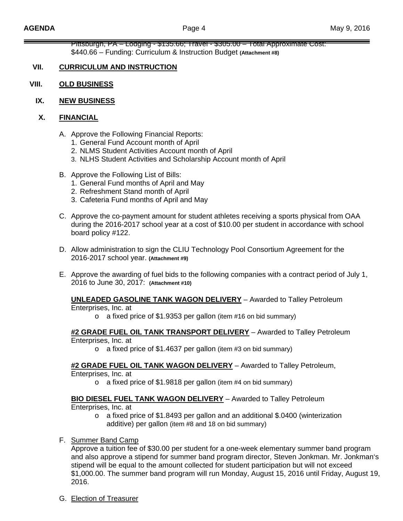Pittsburgh, PA – Lodging - \$135.66; Travel - \$305.00 – Total Approximate Cost: \$440.66 – Funding: Curriculum & Instruction Budget **(Attachment #8)** 

# **VII. CURRICULUM AND INSTRUCTION**

- **VIII. OLD BUSINESS**
	- **IX. NEW BUSINESS**

## **X. FINANCIAL**

- A. Approve the Following Financial Reports:
	- 1. General Fund Account month of April
	- 2. NLMS Student Activities Account month of April
	- 3. NLHS Student Activities and Scholarship Account month of April
- B. Approve the Following List of Bills:
	- 1. General Fund months of April and May
	- 2. Refreshment Stand month of April
	- 3. Cafeteria Fund months of April and May
- C. Approve the co-payment amount for student athletes receiving a sports physical from OAA during the 2016-2017 school year at a cost of \$10.00 per student in accordance with school board policy #122.
- D. Allow administration to sign the CLIU Technology Pool Consortium Agreement for the 2016-2017 school year. **(Attachment #9)**
- E. Approve the awarding of fuel bids to the following companies with a contract period of July 1, 2016 to June 30, 2017: **(Attachment #10)**

#### **UNLEADED GASOLINE TANK WAGON DELIVERY** – Awarded to Talley Petroleum Enterprises, Inc. at

o a fixed price of \$1.9353 per gallon (item #16 on bid summary)

## **#2 GRADE FUEL OIL TANK TRANSPORT DELIVERY** – Awarded to Talley Petroleum Enterprises, Inc. at

o a fixed price of \$1.4637 per gallon (item #3 on bid summary)

# **#2 GRADE FUEL OIL TANK WAGON DELIVERY** – Awarded to Talley Petroleum,

Enterprises, Inc. at

o a fixed price of \$1.9818 per gallon (item #4 on bid summary)

## **BIO DIESEL FUEL TANK WAGON DELIVERY** – Awarded to Talley Petroleum

Enterprises, Inc. at

- o a fixed price of \$1.8493 per gallon and an additional \$.0400 (winterization additive) per gallon (item #8 and 18 on bid summary)
- F. Summer Band Camp

Approve a tuition fee of \$30.00 per student for a one-week elementary summer band program and also approve a stipend for summer band program director, Steven Jonkman. Mr. Jonkman's stipend will be equal to the amount collected for student participation but will not exceed \$1,000.00. The summer band program will run Monday, August 15, 2016 until Friday, August 19, 2016.

G. Election of Treasurer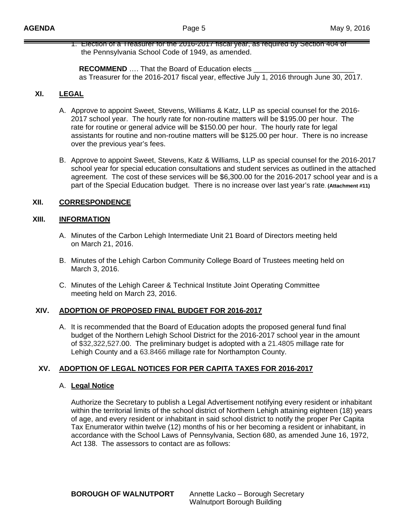1. Election of a Treasurer for the 2016-2017 fiscal year, as required by Section 404 of the Pennsylvania School Code of 1949, as amended.

**RECOMMEND** .... That the Board of Education elects as Treasurer for the 2016-2017 fiscal year, effective July 1, 2016 through June 30, 2017.

# **XI. LEGAL**

- A. Approve to appoint Sweet, Stevens, Williams & Katz, LLP as special counsel for the 2016- 2017 school year. The hourly rate for non-routine matters will be \$195.00 per hour. The rate for routine or general advice will be \$150.00 per hour. The hourly rate for legal assistants for routine and non-routine matters will be \$125.00 per hour. There is no increase over the previous year's fees.
- B. Approve to appoint Sweet, Stevens, Katz & Williams, LLP as special counsel for the 2016-2017 school year for special education consultations and student services as outlined in the attached agreement. The cost of these services will be \$6,300.00 for the 2016-2017 school year and is a part of the Special Education budget. There is no increase over last year's rate. **(Attachment #11)**

# **XII. CORRESPONDENCE**

# **XIII. INFORMATION**

- A. Minutes of the Carbon Lehigh Intermediate Unit 21 Board of Directors meeting held on March 21, 2016.
- B. Minutes of the Lehigh Carbon Community College Board of Trustees meeting held on March 3, 2016.
- C. Minutes of the Lehigh Career & Technical Institute Joint Operating Committee meeting held on March 23, 2016.

# **XIV. ADOPTION OF PROPOSED FINAL BUDGET FOR 2016-2017**

A. It is recommended that the Board of Education adopts the proposed general fund final budget of the Northern Lehigh School District for the 2016-2017 school year in the amount of \$32,322,527.00. The preliminary budget is adopted with a 21.4805 millage rate for Lehigh County and a 63.8466 millage rate for Northampton County.

# **XV. ADOPTION OF LEGAL NOTICES FOR PER CAPITA TAXES FOR 2016-2017**

# A. **Legal Notice**

 Authorize the Secretary to publish a Legal Advertisement notifying every resident or inhabitant within the territorial limits of the school district of Northern Lehigh attaining eighteen (18) years of age, and every resident or inhabitant in said school district to notify the proper Per Capita Tax Enumerator within twelve (12) months of his or her becoming a resident or inhabitant, in accordance with the School Laws of Pennsylvania, Section 680, as amended June 16, 1972, Act 138. The assessors to contact are as follows: